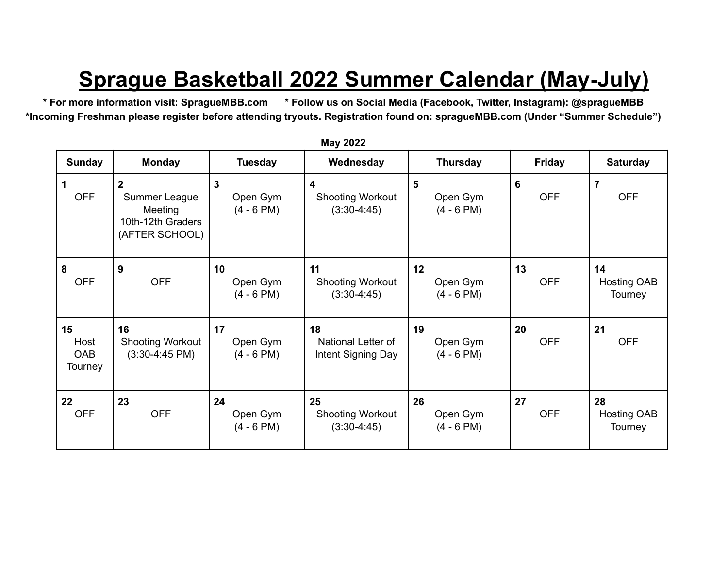## **Sprague Basketball 2022 Summer Calendar (May-July)**

\* For more information visit: SpragueMBB.com \* Follow us on Social Media (Facebook, Twitter, Instagram): @spragueMBB **\*Incoming Freshman please register before attending tryouts. Registration found on: spragueMBB.com (Under "Summer Schedule")**

| <b>Sunday</b>                | <b>Monday</b>                                                                     | <b>Tuesday</b>                           | Wednesday                                      | <b>Thursday</b>                | <b>Friday</b>    | <b>Saturday</b>                     |
|------------------------------|-----------------------------------------------------------------------------------|------------------------------------------|------------------------------------------------|--------------------------------|------------------|-------------------------------------|
| 1<br><b>OFF</b>              | $\overline{2}$<br>Summer League<br>Meeting<br>10th-12th Graders<br>(AFTER SCHOOL) | $\mathbf{3}$<br>Open Gym<br>$(4 - 6$ PM) | 4<br><b>Shooting Workout</b><br>$(3:30-4:45)$  | 5<br>Open Gym<br>$(4 - 6$ PM)  | 6<br><b>OFF</b>  | $\overline{7}$<br><b>OFF</b>        |
| 8<br><b>OFF</b>              | 9<br><b>OFF</b>                                                                   | 10<br>Open Gym<br>$(4 - 6$ PM)           | 11<br><b>Shooting Workout</b><br>$(3:30-4:45)$ | 12<br>Open Gym<br>$(4 - 6$ PM) | 13<br><b>OFF</b> | 14<br><b>Hosting OAB</b><br>Tourney |
| 15<br>Host<br>OAB<br>Tourney | 16<br><b>Shooting Workout</b><br>$(3:30-4:45 \text{ PM})$                         | 17<br>Open Gym<br>$(4 - 6$ PM)           | 18<br>National Letter of<br>Intent Signing Day | 19<br>Open Gym<br>$(4 - 6$ PM) | 20<br><b>OFF</b> | 21<br><b>OFF</b>                    |
| 22<br><b>OFF</b>             | 23<br><b>OFF</b>                                                                  | 24<br>Open Gym<br>$(4 - 6$ PM)           | 25<br><b>Shooting Workout</b><br>$(3:30-4:45)$ | 26<br>Open Gym<br>$(4 - 6$ PM) | 27<br><b>OFF</b> | 28<br><b>Hosting OAB</b><br>Tourney |

**May 2022**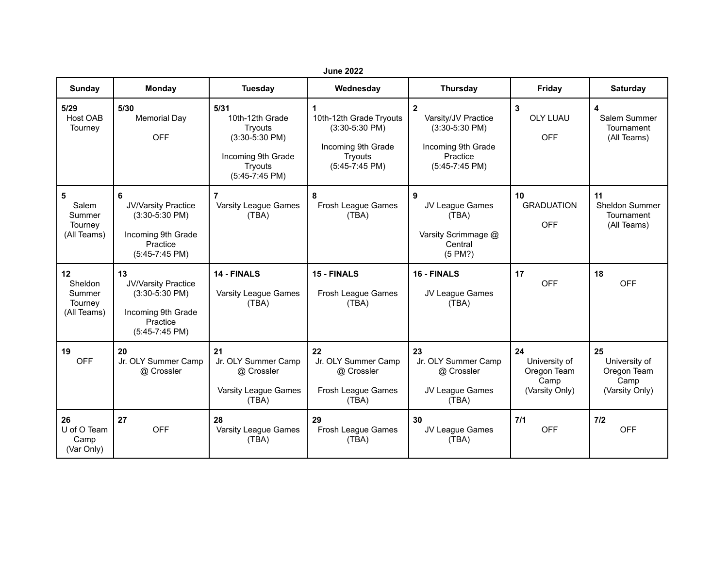| <b>June 2022</b>                                  |                                                                                                     |                                                                                                           |                                                                                                       |                                                                                                               |                                                              |                                                                      |  |
|---------------------------------------------------|-----------------------------------------------------------------------------------------------------|-----------------------------------------------------------------------------------------------------------|-------------------------------------------------------------------------------------------------------|---------------------------------------------------------------------------------------------------------------|--------------------------------------------------------------|----------------------------------------------------------------------|--|
| Sunday                                            | Monday                                                                                              | Tuesday                                                                                                   | Wednesday                                                                                             | <b>Thursday</b>                                                                                               | Friday                                                       | <b>Saturday</b>                                                      |  |
| 5/29<br>Host OAB<br>Tourney                       | 5/30<br><b>Memorial Day</b><br><b>OFF</b>                                                           | 5/31<br>10th-12th Grade<br>Tryouts<br>$(3:30-5:30$ PM)<br>Incoming 9th Grade<br>Tryouts<br>(5:45-7:45 PM) | 1<br>10th-12th Grade Tryouts<br>$(3:30-5:30$ PM)<br>Incoming 9th Grade<br>Tryouts<br>$(5:45-7:45$ PM) | $\mathbf{2}$<br>Varsity/JV Practice<br>$(3:30-5:30$ PM)<br>Incoming 9th Grade<br>Practice<br>$(5:45-7:45$ PM) | 3<br><b>OLY LUAU</b><br><b>OFF</b>                           | $\overline{\mathbf{4}}$<br>Salem Summer<br>Tournament<br>(All Teams) |  |
| 5<br>Salem<br>Summer<br>Tourney<br>(All Teams)    | 6<br>JV/Varsity Practice<br>$(3:30-5:30$ PM)<br>Incoming 9th Grade<br>Practice<br>$(5:45-7:45$ PM)  | 7<br>Varsity League Games<br>(TBA)                                                                        | 8<br>Frosh League Games<br>(TBA)                                                                      | $\overline{9}$<br>JV League Games<br>(TBA)<br>Varsity Scrimmage @<br>Central<br>(5 PM?)                       | 10<br><b>GRADUATION</b><br><b>OFF</b>                        | 11<br>Sheldon Summer<br>Tournament<br>(All Teams)                    |  |
| 12<br>Sheldon<br>Summer<br>Tourney<br>(All Teams) | 13<br>JV/Varsity Practice<br>$(3:30-5:30$ PM)<br>Incoming 9th Grade<br>Practice<br>$(5:45-7:45$ PM) | 14 - FINALS<br>Varsity League Games<br>(TBA)                                                              | 15 - FINALS<br>Frosh League Games<br>(TBA)                                                            | 16 - FINALS<br>JV League Games<br>(TBA)                                                                       | 17<br><b>OFF</b>                                             | 18<br><b>OFF</b>                                                     |  |
| 19<br><b>OFF</b>                                  | 20<br>Jr. OLY Summer Camp<br>@ Crossler                                                             | 21<br>Jr. OLY Summer Camp<br>@ Crossler<br>Varsity League Games<br>(TBA)                                  | 22<br>Jr. OLY Summer Camp<br>@ Crossler<br>Frosh League Games<br>(TBA)                                | 23<br>Jr. OLY Summer Camp<br>@ Crossler<br>JV League Games<br>(TBA)                                           | 24<br>University of<br>Oregon Team<br>Camp<br>(Varsity Only) | 25<br>University of<br>Oregon Team<br>Camp<br>(Varsity Only)         |  |
| 26<br>U of O Team<br>Camp<br>(Var Only)           | 27<br><b>OFF</b>                                                                                    | 28<br>Varsity League Games<br>(TBA)                                                                       | 29<br>Frosh League Games<br>(TBA)                                                                     | 30<br>JV League Games<br>(TBA)                                                                                | $7/1$<br><b>OFF</b>                                          | $7/2$<br><b>OFF</b>                                                  |  |